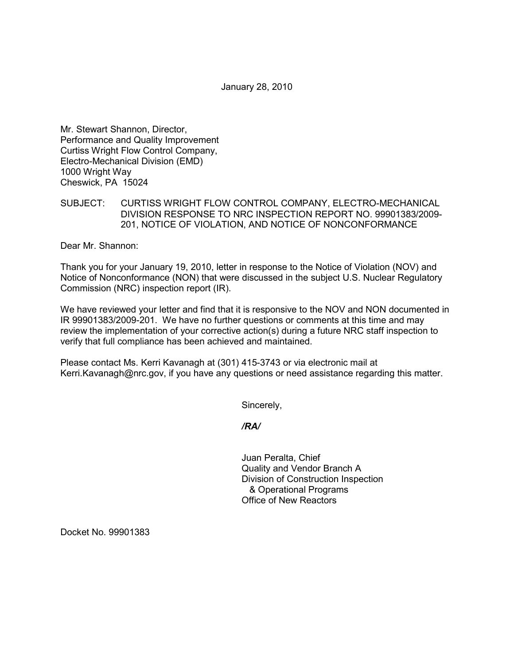January 28, 2010

Mr. Stewart Shannon, Director, Performance and Quality Improvement Curtiss Wright Flow Control Company, Electro-Mechanical Division (EMD) 1000 Wright Way Cheswick, PA 15024

SUBJECT: CURTISS WRIGHT FLOW CONTROL COMPANY, ELECTRO-MECHANICAL DIVISION RESPONSE TO NRC INSPECTION REPORT NO. 99901383/2009- 201, NOTICE OF VIOLATION, AND NOTICE OF NONCONFORMANCE

Dear Mr. Shannon:

Thank you for your January 19, 2010, letter in response to the Notice of Violation (NOV) and Notice of Nonconformance (NON) that were discussed in the subject U.S. Nuclear Regulatory Commission (NRC) inspection report (IR).

We have reviewed your letter and find that it is responsive to the NOV and NON documented in IR 99901383/2009-201. We have no further questions or comments at this time and may review the implementation of your corrective action(s) during a future NRC staff inspection to verify that full compliance has been achieved and maintained.

Please contact Ms. Kerri Kavanagh at (301) 415-3743 or via electronic mail at Kerri.Kavanagh@nrc.gov, if you have any questions or need assistance regarding this matter.

Sincerely,

*/RA/* 

Juan Peralta, Chief Quality and Vendor Branch A Division of Construction Inspection & Operational Programs Office of New Reactors

Docket No. 99901383